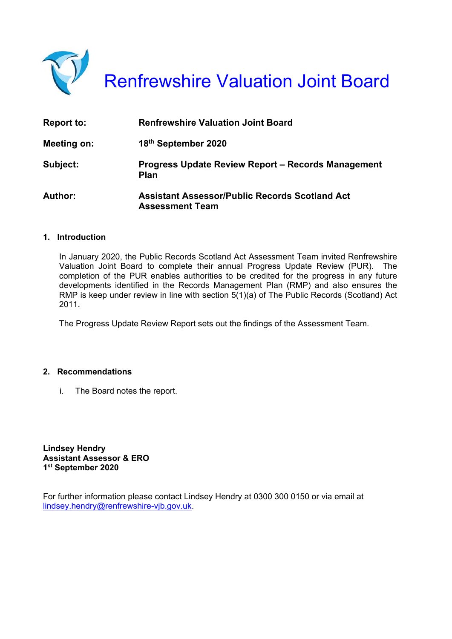

Renfrewshire Valuation Joint Board

| <b>Report to:</b> | <b>Renfrewshire Valuation Joint Board</b>                                       |
|-------------------|---------------------------------------------------------------------------------|
| Meeting on:       | 18th September 2020                                                             |
| Subject:          | Progress Update Review Report - Records Management<br>Plan                      |
| Author:           | <b>Assistant Assessor/Public Records Scotland Act</b><br><b>Assessment Team</b> |

#### **1. Introduction**

In January 2020, the Public Records Scotland Act Assessment Team invited Renfrewshire Valuation Joint Board to complete their annual Progress Update Review (PUR). The completion of the PUR enables authorities to be credited for the progress in any future developments identified in the Records Management Plan (RMP) and also ensures the RMP is keep under review in line with section 5(1)(a) of The Public Records (Scotland) Act 2011.

The Progress Update Review Report sets out the findings of the Assessment Team.

#### **2. Recommendations**

i. The Board notes the report.

**Lindsey Hendry Assistant Assessor & ERO 1st September 2020** 

For further information please contact Lindsey Hendry at 0300 300 0150 or via email at lindsey.hendry@renfrewshire-vjb.gov.uk.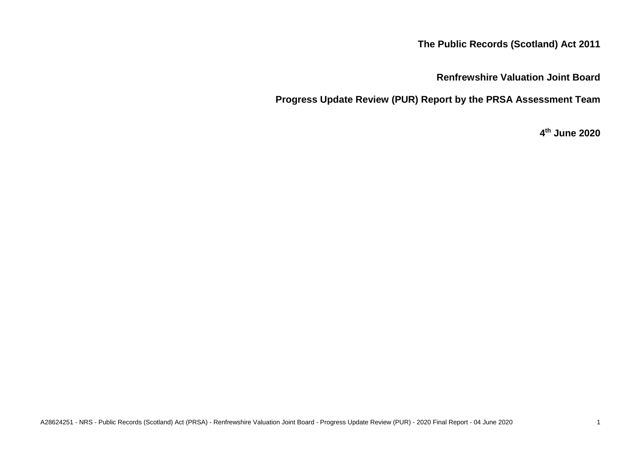# **The Public Records (Scotland) Act 2011**

# **Renfrewshire Valuation Joint Board**

**Progress Update Review (PUR) Report by the PRSA Assessment Team**

# **4 th June 2020**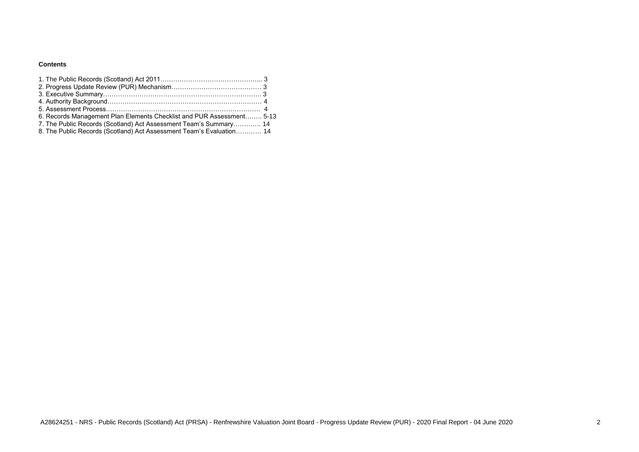## **Contents**

| 6. Records Management Plan Elements Checklist and PUR Assessment 5-13 |  |
|-----------------------------------------------------------------------|--|
| 7. The Public Records (Scotland) Act Assessment Team's Summary 14     |  |
| 8. The Public Records (Scotland) Act Assessment Team's Evaluation 14  |  |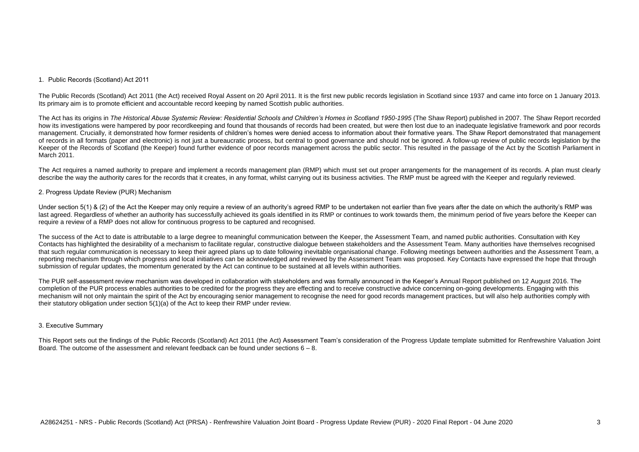### 1. Public Records (Scotland) Act 2011

The Public Records (Scotland) Act 2011 (the Act) received Royal Assent on 20 April 2011. It is the first new public records legislation in Scotland since 1937 and came into force on 1 January 2013. Its primary aim is to promote efficient and accountable record keeping by named Scottish public authorities.

The Act has its origins in *The Historical Abuse Systemic Review: Residential Schools and Children's Homes in Scotland 1950-1995* (The Shaw Report) published in 2007. The Shaw Report recorded how its investigations were hampered by poor recordkeeping and found that thousands of records had been created, but were then lost due to an inadequate legislative framework and poor records management. Crucially, it demonstrated how former residents of children's homes were denied access to information about their formative years. The Shaw Report demonstrated that management of records in all formats (paper and electronic) is not just a bureaucratic process, but central to good governance and should not be ignored. A follow-up review of public records legislation by the Keeper of the Records of Scotland (the Keeper) found further evidence of poor records management across the public sector. This resulted in the passage of the Act by the Scottish Parliament in March 2011.

Under section 5(1) & (2) of the Act the Keeper may only require a review of an authority's agreed RMP to be undertaken not earlier than five years after the date on which the authority's RMP was last agreed. Regardless of whether an authority has successfully achieved its goals identified in its RMP or continues to work towards them, the minimum period of five years before the Keeper can require a review of a RMP does not allow for continuous progress to be captured and recognised.

The Act requires a named authority to prepare and implement a records management plan (RMP) which must set out proper arrangements for the management of its records. A plan must clearly describe the way the authority cares for the records that it creates, in any format, whilst carrying out its business activities. The RMP must be agreed with the Keeper and regularly reviewed.

#### 2. Progress Update Review (PUR) Mechanism

This Report sets out the findings of the Public Records (Scotland) Act 2011 (the Act) Assessment Team's consideration of the Progress Update template submitted for Renfrewshire Valuation Joint Board. The outcome of the assessment and relevant feedback can be found under sections  $6 - 8$ .

The success of the Act to date is attributable to a large degree to meaningful communication between the Keeper, the Assessment Team, and named public authorities. Consultation with Key Contacts has highlighted the desirability of a mechanism to facilitate regular, constructive dialogue between stakeholders and the Assessment Team. Many authorities have themselves recognised that such regular communication is necessary to keep their agreed plans up to date following inevitable organisational change. Following meetings between authorities and the Assessment Team, a reporting mechanism through which progress and local initiatives can be acknowledged and reviewed by the Assessment Team was proposed. Key Contacts have expressed the hope that through submission of regular updates, the momentum generated by the Act can continue to be sustained at all levels within authorities.

The PUR self-assessment review mechanism was developed in collaboration with stakeholders and was formally announced in the Keeper's Annual Report published on 12 August 2016. The completion of the PUR process enables authorities to be credited for the progress they are effecting and to receive constructive advice concerning on-going developments. Engaging with this mechanism will not only maintain the spirit of the Act by encouraging senior management to recognise the need for good records management practices, but will also help authorities comply with their statutory obligation under section 5(1)(a) of the Act to keep their RMP under review.

#### 3. Executive Summary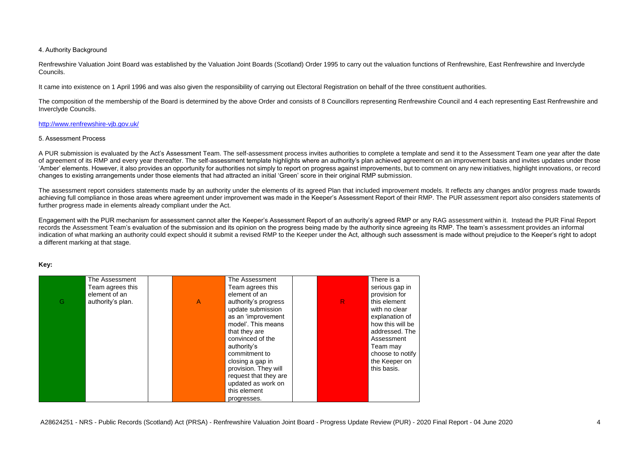### 4. Authority Background

Renfrewshire Valuation Joint Board was established by the Valuation Joint Boards (Scotland) Order 1995 to carry out the valuation functions of Renfrewshire, East Renfrewshire and Inverclyde Councils.

It came into existence on 1 April 1996 and was also given the responsibility of carrying out Electoral Registration on behalf of the three constituent authorities.

The composition of the membership of the Board is determined by the above Order and consists of 8 Councillors representing Renfrewshire Council and 4 each representing East Renfrewshire and Inverclyde Councils.

### <http://www.renfrewshire-vjb.gov.uk/>

#### 5. Assessment Process

The assessment report considers statements made by an authority under the elements of its agreed Plan that included improvement models. It reflects any changes and/or progress made towards achieving full compliance in those areas where agreement under improvement was made in the Keeper's Assessment Report of their RMP. The PUR assessment report also considers statements of further progress made in elements already compliant under the Act.

A PUR submission is evaluated by the Act's Assessment Team. The self-assessment process invites authorities to complete a template and send it to the Assessment Team one year after the date of agreement of its RMP and every year thereafter. The self-assessment template highlights where an authority's plan achieved agreement on an improvement basis and invites updates under those 'Amber' elements. However, it also provides an opportunity for authorities not simply to report on progress against improvements, but to comment on any new initiatives, highlight innovations, or record changes to existing arrangements under those elements that had attracted an initial 'Green' score in their original RMP submission.

Engagement with the PUR mechanism for assessment cannot alter the Keeper's Assessment Report of an authority's agreed RMP or any RAG assessment within it. Instead the PUR Final Report records the Assessment Team's evaluation of the submission and its opinion on the progress being made by the authority since agreeing its RMP. The team's assessment provides an informal indication of what marking an authority could expect should it submit a revised RMP to the Keeper under the Act, although such assessment is made without prejudice to the Keeper's right to adopt a different marking at that stage.

#### **Key:**

| There is a       |
|------------------|
| serious gap in   |
| provision for    |
| this element     |
| with no clear    |
| explanation of   |
| how this will be |
| addressed. The   |
| Assessment       |
| Team may         |
| choose to notify |
| the Keeper on    |
| this basis.      |
|                  |
|                  |
|                  |
|                  |
|                  |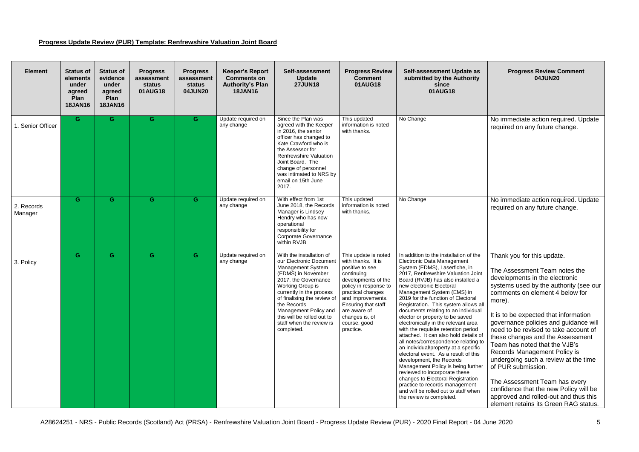## **Progress Update Review (PUR) Template: Renfrewshire Valuation Joint Board**

| <b>Element</b>        | <b>Status of</b><br>elements<br>under<br>agreed<br>Plan<br><b>18JAN16</b> | <b>Status of</b><br>evidence<br>under<br>agreed<br>Plan<br><b>18JAN16</b> | <b>Progress</b><br>assessment<br>status<br>01AUG18 | <b>Progress</b><br>assessment<br><b>status</b><br>04JUN20 | <b>Keeper's Report</b><br><b>Comments on</b><br><b>Authority's Plan</b><br><b>18JAN16</b> | Self-assessment<br><b>Update</b><br><b>27JUN18</b>                                                                                                                                                                                                                                                                    | <b>Progress Review</b><br><b>Comment</b><br>01AUG18                                                                                                                                                                                                         | Self-assessment Update as<br>submitted by the Authority<br>since<br>01AUG18                                                                                                                                                                                                                                                                                                                                                                                                                                                                                                                                                                                                                                                                                                                                                                                                                     |
|-----------------------|---------------------------------------------------------------------------|---------------------------------------------------------------------------|----------------------------------------------------|-----------------------------------------------------------|-------------------------------------------------------------------------------------------|-----------------------------------------------------------------------------------------------------------------------------------------------------------------------------------------------------------------------------------------------------------------------------------------------------------------------|-------------------------------------------------------------------------------------------------------------------------------------------------------------------------------------------------------------------------------------------------------------|-------------------------------------------------------------------------------------------------------------------------------------------------------------------------------------------------------------------------------------------------------------------------------------------------------------------------------------------------------------------------------------------------------------------------------------------------------------------------------------------------------------------------------------------------------------------------------------------------------------------------------------------------------------------------------------------------------------------------------------------------------------------------------------------------------------------------------------------------------------------------------------------------|
| 1. Senior Officer     | G                                                                         | G                                                                         | G                                                  | G                                                         | Update required on<br>any change                                                          | Since the Plan was<br>agreed with the Keeper<br>in 2016, the senior<br>officer has changed to<br>Kate Crawford who is<br>the Assessor for<br><b>Renfrewshire Valuation</b><br>Joint Board. The<br>change of personnel<br>was intimated to NRS by<br>email on 15th June<br>2017.                                       | This updated<br>information is noted<br>with thanks.                                                                                                                                                                                                        | No Change                                                                                                                                                                                                                                                                                                                                                                                                                                                                                                                                                                                                                                                                                                                                                                                                                                                                                       |
| 2. Records<br>Manager | G                                                                         | G                                                                         | G                                                  | G                                                         | Update required on<br>any change                                                          | With effect from 1st<br>June 2018, the Records<br>Manager is Lindsey<br>Hendry who has now<br>operational<br>responsibility for<br><b>Corporate Governance</b><br>within RVJB                                                                                                                                         | This updated<br>information is noted<br>with thanks.                                                                                                                                                                                                        | No Change                                                                                                                                                                                                                                                                                                                                                                                                                                                                                                                                                                                                                                                                                                                                                                                                                                                                                       |
| 3. Policy             | G                                                                         | G                                                                         | G                                                  | G                                                         | Update required on<br>any change                                                          | With the installation of<br>our Electronic Document<br>Management System<br>(EDMS) in November<br>2017, the Governance<br>Working Group is<br>currently in the process<br>of finalising the review of<br>the Records<br>Management Policy and<br>this will be rolled out to<br>staff when the review is<br>completed. | This update is noted<br>with thanks. It is<br>positive to see<br>continuing<br>developments of the<br>policy in response to<br>practical changes<br>and improvements.<br>Ensuring that staff<br>are aware of<br>changes is, of<br>course, good<br>practice. | In addition to the installation of the<br>Electronic Data Management<br>System (EDMS), Laserfiche, in<br>2017, Renfrewshire Valuation Joint<br>Board (RVJB) has also installed a<br>new electronic Electoral<br>Management System (EMS) in<br>2019 for the function of Electoral<br>Registration. This system allows all<br>documents relating to an individual<br>elector or property to be saved<br>electronically in the relevant area<br>with the requisite retention period<br>attached. It can also hold details of<br>all notes/correspondence relating to<br>an individual/property at a specific<br>electoral event. As a result of this<br>development, the Records<br>Management Policy is being further<br>reviewed to incorporate these<br>changes to Electoral Registration<br>practice to records management<br>and will be rolled out to staff when<br>the review is completed. |

| <b>Self-assessment Update as</b><br>submitted by the Authority<br>since<br>01AUG18                                                                                                                                                                                                                                                                                                                                                                                                                                                                                                                                                                                                                                                                   | <b>Progress Review Comment</b><br>04JUN20                                                                                                                                                                                                                                                                                                                                                                                                                                          |
|------------------------------------------------------------------------------------------------------------------------------------------------------------------------------------------------------------------------------------------------------------------------------------------------------------------------------------------------------------------------------------------------------------------------------------------------------------------------------------------------------------------------------------------------------------------------------------------------------------------------------------------------------------------------------------------------------------------------------------------------------|------------------------------------------------------------------------------------------------------------------------------------------------------------------------------------------------------------------------------------------------------------------------------------------------------------------------------------------------------------------------------------------------------------------------------------------------------------------------------------|
| No Change                                                                                                                                                                                                                                                                                                                                                                                                                                                                                                                                                                                                                                                                                                                                            | No immediate action required. Update<br>required on any future change.                                                                                                                                                                                                                                                                                                                                                                                                             |
| No Change                                                                                                                                                                                                                                                                                                                                                                                                                                                                                                                                                                                                                                                                                                                                            | No immediate action required. Update<br>required on any future change.                                                                                                                                                                                                                                                                                                                                                                                                             |
| In addition to the installation of the<br>Electronic Data Management<br>System (EDMS), Laserfiche, in<br>2017, Renfrewshire Valuation Joint<br>Board (RVJB) has also installed a<br>new electronic Electoral<br>Management System (EMS) in<br>2019 for the function of Electoral<br>Registration. This system allows all<br>documents relating to an individual<br>elector or property to be saved<br>electronically in the relevant area<br>with the requisite retention period<br>attached. It can also hold details of<br>all notes/correspondence relating to<br>an individual/property at a specific<br>electoral event. As a result of this<br>development, the Records<br>Management Policy is being further<br>reviewed to incorporate these | Thank you for this update.<br>The Assessment Team notes the<br>developments in the electronic<br>systems used by the authority (see our<br>comments on element 4 below for<br>more).<br>It is to be expected that information<br>governance policies and guidance will<br>need to be revised to take account of<br>these changes and the Assessment<br>Team has noted that the VJB's<br>Records Management Policy is<br>undergoing such a review at the time<br>of PUR submission. |
| changes to Electoral Registration<br>practice to records management<br>and will be rolled out to staff when<br>the review is completed.                                                                                                                                                                                                                                                                                                                                                                                                                                                                                                                                                                                                              | The Assessment Team has every<br>confidence that the new Policy will be<br>approved and rolled-out and thus this<br>element retains its Green RAG status.                                                                                                                                                                                                                                                                                                                          |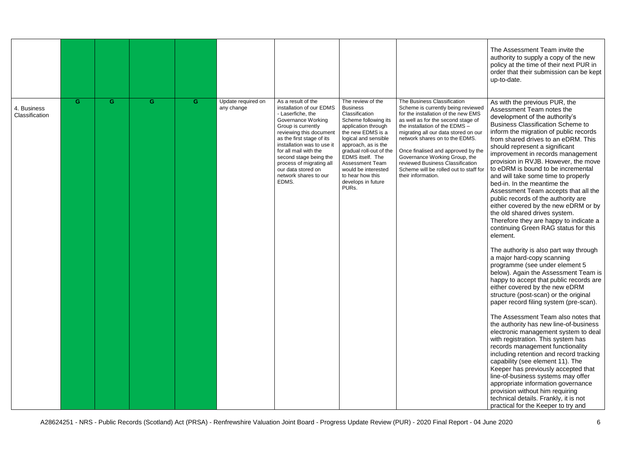|                               |    |   |   |   |                                  |                                                                                                                                                                                                                                                                                                                                                     |                                                                                                                                                                                                                                                                                                                              |                                                                                                                                                                                                                                                                                                                                                                                                                                       | The Assessment Team invite the<br>authority to supply a copy of the new<br>policy at the time of their next PUR in<br>order that their submission can be kept<br>up-to-date.                                                                                                                                                                                                                                                                                                                                                                                                                                                                                                                                                                                                                                                                                                                                                                                                                                                                                                                                                                                                                                                                                                                                                                                                                                                                                                                                                                         |
|-------------------------------|----|---|---|---|----------------------------------|-----------------------------------------------------------------------------------------------------------------------------------------------------------------------------------------------------------------------------------------------------------------------------------------------------------------------------------------------------|------------------------------------------------------------------------------------------------------------------------------------------------------------------------------------------------------------------------------------------------------------------------------------------------------------------------------|---------------------------------------------------------------------------------------------------------------------------------------------------------------------------------------------------------------------------------------------------------------------------------------------------------------------------------------------------------------------------------------------------------------------------------------|------------------------------------------------------------------------------------------------------------------------------------------------------------------------------------------------------------------------------------------------------------------------------------------------------------------------------------------------------------------------------------------------------------------------------------------------------------------------------------------------------------------------------------------------------------------------------------------------------------------------------------------------------------------------------------------------------------------------------------------------------------------------------------------------------------------------------------------------------------------------------------------------------------------------------------------------------------------------------------------------------------------------------------------------------------------------------------------------------------------------------------------------------------------------------------------------------------------------------------------------------------------------------------------------------------------------------------------------------------------------------------------------------------------------------------------------------------------------------------------------------------------------------------------------------|
| 4. Business<br>Classification | G. | G | G | G | Update required on<br>any change | As a result of the<br>installation of our EDMS<br>- Laserfiche, the<br><b>Governance Working</b><br>Group is currently<br>reviewing this document<br>as the first stage of its<br>installation was to use it<br>for all mail with the<br>second stage being the<br>process of migrating all<br>our data stored on<br>network shares to our<br>EDMS. | The review of the<br><b>Business</b><br>Classification<br>Scheme following its<br>application through<br>the new EDMS is a<br>logical and sensible<br>approach, as is the<br>gradual roll-out of the<br>EDMS itself. The<br><b>Assessment Team</b><br>would be interested<br>to hear how this<br>develops in future<br>PURs. | The Business Classification<br>Scheme is currently being reviewed<br>for the installation of the new EMS<br>as well as for the second stage of<br>the installation of the EDMS -<br>migrating all our data stored on our<br>network shares on to the EDMS.<br>Once finalised and approved by the<br>Governance Working Group, the<br>reviewed Business Classification<br>Scheme will be rolled out to staff for<br>their information. | As with the previous PUR, the<br>Assessment Team notes the<br>development of the authority's<br><b>Business Classification Scheme to</b><br>inform the migration of public records<br>from shared drives to an eDRM. This<br>should represent a significant<br>improvement in records management<br>provision in RVJB. However, the move<br>to eDRM is bound to be incremental<br>and will take some time to properly<br>bed-in. In the meantime the<br>Assessment Team accepts that all the<br>public records of the authority are<br>either covered by the new eDRM or by<br>the old shared drives system.<br>Therefore they are happy to indicate a<br>continuing Green RAG status for this<br>element.<br>The authority is also part way through<br>a major hard-copy scanning<br>programme (see under element 5<br>below). Again the Assessment Team is<br>happy to accept that public records are<br>either covered by the new eDRM<br>structure (post-scan) or the original<br>paper record filing system (pre-scan).<br>The Assessment Team also notes that<br>the authority has new line-of-business<br>electronic management system to deal<br>with registration. This system has<br>records management functionality<br>including retention and record tracking<br>capability (see element 11). The<br>Keeper has previously accepted that<br>line-of-business systems may offer<br>appropriate information governance<br>provision without him requiring<br>technical details. Frankly, it is not<br>practical for the Keeper to try and |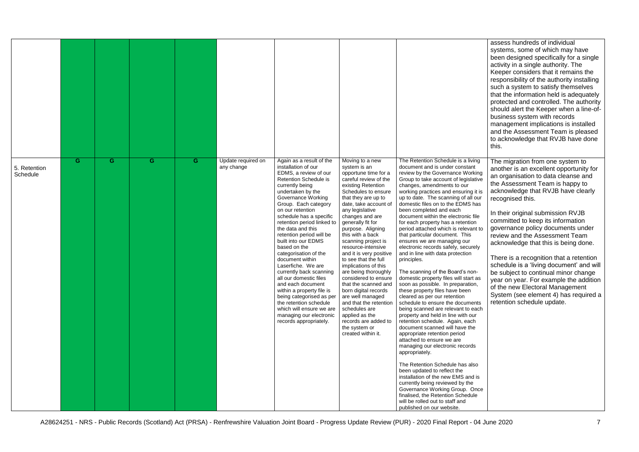assess hundreds of individual systems, some of which may have been designed specifically for a single activity in a single authority. The Keeper considers that it remains the responsibility of the authority installing such a system to satisfy themselves that the information held is adequately protected and controlled. The authority should alert the Keeper when a line-ofbusiness system with records management implications is installed and the Assessment Team is pleased to acknowledge that RVJB have done this.

| 5. Retention<br>Schedule | G | G | G | G | Update required on<br>any change | Again as a result of the<br>installation of our<br>EDMS, a review of our<br><b>Retention Schedule is</b><br>currently being<br>undertaken by the<br><b>Governance Working</b><br>Group. Each category<br>on our retention<br>schedule has a specific<br>retention period linked to<br>the data and this<br>retention period will be<br>built into our EDMS<br>based on the<br>categorisation of the<br>document within<br>Laserfiche. We are<br>currently back scanning<br>all our domestic files<br>and each document<br>within a property file is<br>being categorised as per<br>the retention schedule<br>which will ensure we are<br>managing our electronic<br>records appropriately. | Moving to a new<br>system is an<br>opportune time for a<br>careful review of the<br>existing Retention<br>Schedules to ensure<br>that they are up to<br>date, take account of<br>any legislative<br>changes and are<br>generally fit for<br>purpose. Aligning<br>this with a back<br>scanning project is<br>resource-intensive<br>and it is very positive<br>to see that the full<br>implications of this<br>are being thoroughly<br>considered to ensure<br>that the scanned and<br>born digital records<br>are well managed<br>and that the retention<br>schedules are<br>applied as the<br>records are added to<br>the system or<br>created within it. | The Retention Schedule is a living<br>document and is under constant<br>review by the Governance Working<br>Group to take account of legislative<br>changes, amendments to our<br>working practices and ensuring it is<br>up to date. The scanning of all our<br>domestic files on to the EDMS has<br>been completed and each<br>document within the electronic file<br>for each property has a retention<br>period attached which is relevant to<br>that particular document. This<br>ensures we are managing our<br>electronic records safely, securely<br>and in line with data protection<br>principles.<br>The scanning of the Board's non-<br>domestic property files will start as<br>soon as possible. In preparation,<br>these property files have been<br>cleared as per our retention<br>schedule to ensure the documents<br>being scanned are relevant to each<br>property and held in line with our<br>retention schedule. Again, each<br>document scanned will have the<br>appropriate retention period<br>attached to ensure we are<br>managing our electronic records<br>appropriately.<br>The Retention Schedule has also<br>been updated to reflect the<br>installation of the new EMS and is<br>currently being reviewed by the<br>Governance Working Group. Once<br>finalised, the Retention Schedule<br>will be rolled out to staff and<br>published on our website. |
|--------------------------|---|---|---|---|----------------------------------|--------------------------------------------------------------------------------------------------------------------------------------------------------------------------------------------------------------------------------------------------------------------------------------------------------------------------------------------------------------------------------------------------------------------------------------------------------------------------------------------------------------------------------------------------------------------------------------------------------------------------------------------------------------------------------------------|-----------------------------------------------------------------------------------------------------------------------------------------------------------------------------------------------------------------------------------------------------------------------------------------------------------------------------------------------------------------------------------------------------------------------------------------------------------------------------------------------------------------------------------------------------------------------------------------------------------------------------------------------------------|-------------------------------------------------------------------------------------------------------------------------------------------------------------------------------------------------------------------------------------------------------------------------------------------------------------------------------------------------------------------------------------------------------------------------------------------------------------------------------------------------------------------------------------------------------------------------------------------------------------------------------------------------------------------------------------------------------------------------------------------------------------------------------------------------------------------------------------------------------------------------------------------------------------------------------------------------------------------------------------------------------------------------------------------------------------------------------------------------------------------------------------------------------------------------------------------------------------------------------------------------------------------------------------------------------------------------------------------------------------------------------------------|

The migration from one system to another is an excellent opportunity for an organisation to data cleanse and the Assessment Team is happy to acknowledge that RVJB have clearly recognised this.

In their original submission RVJB committed to keep its information governance policy documents under review and the Assessment Team acknowledge that this is being done.

There is a recognition that a retention schedule is a 'living document' and will be subject to continual minor change year on year. For example the addition of the new Electoral Management System (see element 4) has required a retention schedule update.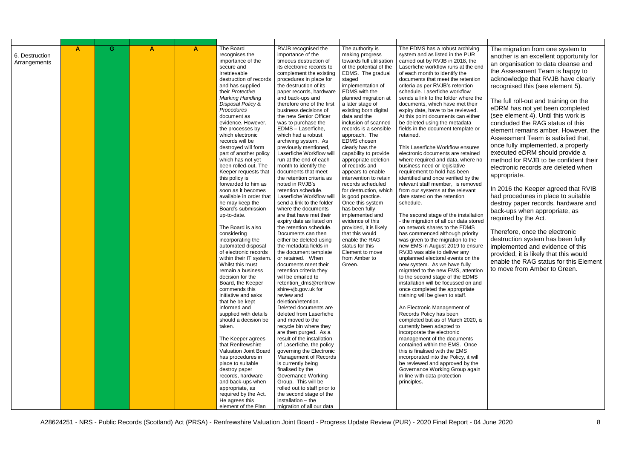| 6. Destruction<br>Arrangements | $\mathbf{A}$ | G | $\mathbf{A}$ | $\mathsf{A}$ | The Board<br>recognises the<br>importance of the<br>secure and<br>irretrievable<br>destruction of records<br>and has supplied<br>their Protective<br><b>Marking Handling</b><br>Disposal Policy &<br>Procedures<br>document as<br>evidence. However,<br>the processes by<br>which electronic<br>records will be<br>destroyed will form<br>part of another policy<br>which has not yet<br>been rolled-out. The<br>Keeper requests that<br>this policy is<br>forwarded to him as<br>soon as it becomes<br>available in order that<br>he may keep the<br>Board's submission<br>up-to-date.<br>The Board is also<br>considering<br>incorporating the<br>automated disposal<br>of electronic records<br>within their IT system.<br>Whilst this must<br>remain a business<br>decision for the<br>Board, the Keeper<br>commends this<br>initiative and asks<br>that he be kept<br>informed and<br>supplied with details<br>should a decision be<br>taken.<br>The Keeper agrees<br>that Renfrewshire<br>Valuation Joint Board<br>has procedures in<br>place to suitable<br>destroy paper<br>records, hardware<br>and back-ups when<br>appropriate, as<br>required by the Act.<br>He agrees this<br>element of the Plan | RVJB recognised the<br>importance of the<br>timeous destruction of<br>its electronic records to<br>complement the existing<br>procedures in place for<br>the destruction of its<br>paper records, hardware<br>and back-ups and<br>therefore one of the first<br>business decisions of<br>the new Senior Officer<br>was to purchase the<br>EDMS - Laserfiche,<br>which had a robust<br>archiving system. As<br>previously mentioned,<br>Laserfiche Workflow will<br>run at the end of each<br>month to identify the<br>documents that meet<br>the retention criteria as<br>noted in RVJB's<br>retention schedule.<br>Laserfiche Workflow will<br>send a link to the folder<br>where the documents<br>are that have met their<br>expiry date as listed on<br>the retention schedule.<br>Documents can then<br>either be deleted using<br>the metadata fields in<br>the document template<br>or retained. When<br>documents meet their<br>retention criteria they<br>will be emailed to<br>retention_dms@renfrew<br>shire-vib.gov.uk for<br>review and<br>deletion/retention.<br>Deleted documents are<br>deleted from Laserfiche<br>and moved to the<br>recycle bin where they<br>are then purged. As a<br>result of the installation<br>of Laserfiche, the policy<br>governing the Electronic<br><b>Management of Records</b><br>is currently being<br>finalised by the<br><b>Governance Working</b><br>Group. This will be<br>rolled out to staff prior to<br>the second stage of the<br>installation - the<br>migration of all our data | The authority is<br>making progress<br>towards full utilisation<br>of the potential of the<br>EDMS. The gradual<br>staged<br>implementation of<br>EDMS with the<br>planned migration at<br>a later stage of<br>existing born digital<br>data and the<br>inclusion of scanned<br>records is a sensible<br>approach. The<br>EDMS chosen<br>clearly has the<br>capability to provide<br>appropriate deletion<br>of records and<br>appears to enable<br>intervention to retain<br>records scheduled<br>for destruction, which<br>is good practice.<br>Once this system<br>has been fully<br>implemented and<br>evidence of this<br>provided, it is likely<br>that this would<br>enable the RAG<br>status for this<br>Element to move<br>from Amber to<br>Green. | The EDMS has a robust archiving<br>system and as listed in the PUR<br>carried out by RVJB in 2018, the<br>Laserfiche workflow runs at the end<br>of each month to identify the<br>documents that meet the retention<br>criteria as per RVJB's retention<br>schedule. Laserfiche workflow<br>sends a link to the folder where the<br>documents, which have met their<br>expiry date, have to be reviewed.<br>At this point documents can either<br>be deleted using the metadata<br>fields in the document template or<br>retained.<br>This Laserfiche Workflow ensures<br>electronic documents are retained<br>where required and data, where no<br>business need or legislative<br>requirement to hold has been<br>identified and once verified by the<br>relevant staff member, is removed<br>from our systems at the relevant<br>date stated on the retention<br>schedule.<br>The second stage of the installation<br>- the migration of all our data stored<br>on network shares to the EDMS<br>has commenced although priority<br>was given to the migration to the<br>new EMS in August 2019 to ensure<br>RVJB was able to deliver any<br>unplanned electoral events on the<br>new system. As we have fully<br>migrated to the new EMS, attention<br>to the second stage of the EDMS<br>installation will be focussed on and<br>once completed the appropriate<br>training will be given to staff.<br>An Electronic Management of<br>Records Policy has been<br>completed but as of March 2020, is<br>currently been adapted to<br>incorporate the electronic<br>management of the documents<br>contained within the EMS. Once<br>this is finalised with the EMS<br>incorporated into the Policy, it will<br>be reviewed and approved by the<br>Governance Working Group again<br>in line with data protection<br>principles. | The migration from one system to<br>another is an excellent opportunity for<br>an organisation to data cleanse and<br>the Assessment Team is happy to<br>acknowledge that RVJB have clearly<br>recognised this (see element 5).<br>The full roll-out and training on the<br>eDRM has not yet been completed<br>(see element 4). Until this work is<br>concluded the RAG status of this<br>element remains amber. However, the<br>Assessment Team is satisfied that,<br>once fully implemented, a properly<br>executed eDRM should provide a<br>method for RVJB to be confident their<br>electronic records are deleted when<br>appropriate.<br>In 2016 the Keeper agreed that RVIB<br>had procedures in place to suitable<br>destroy paper records, hardware and<br>back-ups when appropriate, as<br>required by the Act.<br>Therefore, once the electronic<br>destruction system has been fully<br>implemented and evidence of this<br>provided, it is likely that this would<br>enable the RAG status for this Element<br>to move from Amber to Green. |
|--------------------------------|--------------|---|--------------|--------------|----------------------------------------------------------------------------------------------------------------------------------------------------------------------------------------------------------------------------------------------------------------------------------------------------------------------------------------------------------------------------------------------------------------------------------------------------------------------------------------------------------------------------------------------------------------------------------------------------------------------------------------------------------------------------------------------------------------------------------------------------------------------------------------------------------------------------------------------------------------------------------------------------------------------------------------------------------------------------------------------------------------------------------------------------------------------------------------------------------------------------------------------------------------------------------------------------------------|------------------------------------------------------------------------------------------------------------------------------------------------------------------------------------------------------------------------------------------------------------------------------------------------------------------------------------------------------------------------------------------------------------------------------------------------------------------------------------------------------------------------------------------------------------------------------------------------------------------------------------------------------------------------------------------------------------------------------------------------------------------------------------------------------------------------------------------------------------------------------------------------------------------------------------------------------------------------------------------------------------------------------------------------------------------------------------------------------------------------------------------------------------------------------------------------------------------------------------------------------------------------------------------------------------------------------------------------------------------------------------------------------------------------------------------------------------------------------------------------------------------------------------------|-------------------------------------------------------------------------------------------------------------------------------------------------------------------------------------------------------------------------------------------------------------------------------------------------------------------------------------------------------------------------------------------------------------------------------------------------------------------------------------------------------------------------------------------------------------------------------------------------------------------------------------------------------------------------------------------------------------------------------------------------------------|-------------------------------------------------------------------------------------------------------------------------------------------------------------------------------------------------------------------------------------------------------------------------------------------------------------------------------------------------------------------------------------------------------------------------------------------------------------------------------------------------------------------------------------------------------------------------------------------------------------------------------------------------------------------------------------------------------------------------------------------------------------------------------------------------------------------------------------------------------------------------------------------------------------------------------------------------------------------------------------------------------------------------------------------------------------------------------------------------------------------------------------------------------------------------------------------------------------------------------------------------------------------------------------------------------------------------------------------------------------------------------------------------------------------------------------------------------------------------------------------------------------------------------------------------------------------------------------------------------------------------------------------------------------------------------------------------------------------------------------------------------------------------------------------------------------------------------------|----------------------------------------------------------------------------------------------------------------------------------------------------------------------------------------------------------------------------------------------------------------------------------------------------------------------------------------------------------------------------------------------------------------------------------------------------------------------------------------------------------------------------------------------------------------------------------------------------------------------------------------------------------------------------------------------------------------------------------------------------------------------------------------------------------------------------------------------------------------------------------------------------------------------------------------------------------------------------------------------------------------------------------------------------------|
|                                |              |   |              |              |                                                                                                                                                                                                                                                                                                                                                                                                                                                                                                                                                                                                                                                                                                                                                                                                                                                                                                                                                                                                                                                                                                                                                                                                                |                                                                                                                                                                                                                                                                                                                                                                                                                                                                                                                                                                                                                                                                                                                                                                                                                                                                                                                                                                                                                                                                                                                                                                                                                                                                                                                                                                                                                                                                                                                                          |                                                                                                                                                                                                                                                                                                                                                                                                                                                                                                                                                                                                                                                                                                                                                             |                                                                                                                                                                                                                                                                                                                                                                                                                                                                                                                                                                                                                                                                                                                                                                                                                                                                                                                                                                                                                                                                                                                                                                                                                                                                                                                                                                                                                                                                                                                                                                                                                                                                                                                                                                                                                                     |                                                                                                                                                                                                                                                                                                                                                                                                                                                                                                                                                                                                                                                                                                                                                                                                                                                                                                                                                                                                                                                          |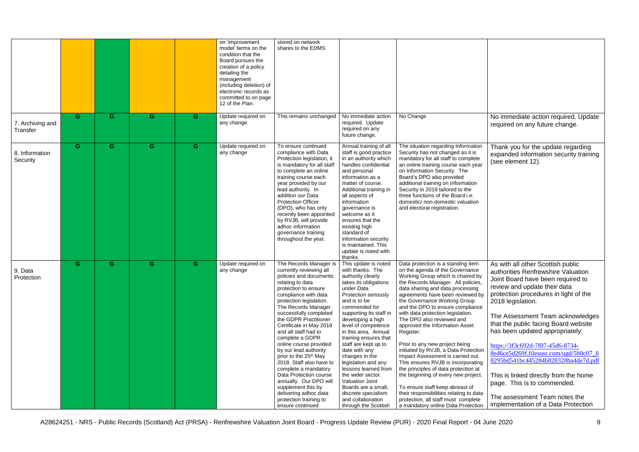|                              |   |   |   |    | on 'improvement<br>model' terms on the<br>condition that the<br>Board pursues the<br>creation of a policy<br>detailing the<br>management<br>(including deletion) of<br>electronic records as<br>committed to on page<br>12 of the Plan. | stored on network<br>shares to the EDMS                                                                                                                                                                                                                                                                                                                                                                                                                                                                                                                                                                                 |                                                                                                                                                                                                                                                                                                                                                                                                                                                                                                                                    |                                                                                                                                                                                                                                                                                                                                                                                                                                                                                                                                                                                                                                                                                                                                                                                                              |                                                                                                                                                                                                                                                                                                                                                                                                                                                                                                                                                                                                |
|------------------------------|---|---|---|----|-----------------------------------------------------------------------------------------------------------------------------------------------------------------------------------------------------------------------------------------|-------------------------------------------------------------------------------------------------------------------------------------------------------------------------------------------------------------------------------------------------------------------------------------------------------------------------------------------------------------------------------------------------------------------------------------------------------------------------------------------------------------------------------------------------------------------------------------------------------------------------|------------------------------------------------------------------------------------------------------------------------------------------------------------------------------------------------------------------------------------------------------------------------------------------------------------------------------------------------------------------------------------------------------------------------------------------------------------------------------------------------------------------------------------|--------------------------------------------------------------------------------------------------------------------------------------------------------------------------------------------------------------------------------------------------------------------------------------------------------------------------------------------------------------------------------------------------------------------------------------------------------------------------------------------------------------------------------------------------------------------------------------------------------------------------------------------------------------------------------------------------------------------------------------------------------------------------------------------------------------|------------------------------------------------------------------------------------------------------------------------------------------------------------------------------------------------------------------------------------------------------------------------------------------------------------------------------------------------------------------------------------------------------------------------------------------------------------------------------------------------------------------------------------------------------------------------------------------------|
| 7. Archiving and<br>Transfer | G | G | G | G. | Update required on<br>any change                                                                                                                                                                                                        | This remains unchanged                                                                                                                                                                                                                                                                                                                                                                                                                                                                                                                                                                                                  | No immediate action<br>required. Update<br>required on any<br>future change.                                                                                                                                                                                                                                                                                                                                                                                                                                                       | No Change                                                                                                                                                                                                                                                                                                                                                                                                                                                                                                                                                                                                                                                                                                                                                                                                    | No immediate action required. Update<br>required on any future change.                                                                                                                                                                                                                                                                                                                                                                                                                                                                                                                         |
| 8. Information<br>Security   | G | G | G | G  | Update required on<br>any change                                                                                                                                                                                                        | To ensure continued<br>compliance with Data<br>Protection legislation, it<br>is mandatory for all staff<br>to complete an online<br>training course each<br>year provided by our<br>lead authority. In<br>addition our Data<br><b>Protection Officer</b><br>(DPO), who has only<br>recently been appointed<br>by RVJB, will provide<br>adhoc information<br>governance training<br>throughout the year.                                                                                                                                                                                                                 | Annual training of all<br>staff is good practice<br>in an authority which<br>handles confidential<br>and personal<br>information as a<br>matter of course.<br>Additional training in<br>all aspects of<br>information<br>governance is<br>welcome as it<br>ensures that the<br>existing high<br>standard of<br>information security<br>is maintained. This<br>update is noted with<br>thanks.                                                                                                                                      | The situation regarding Information<br>Security has not changed as it is<br>mandatory for all staff to complete<br>an online training course each year<br>on Information Security. The<br>Board's DPO also provided<br>additional training on Information<br>Security in 2019 tailored to the<br>three functions of the Board i.e.<br>domestic/ non-domestic valuation<br>and electoral registration.                                                                                                                                                                                                                                                                                                                                                                                                        | Thank you for the update regarding<br>expanded information security training<br>(see element 12).                                                                                                                                                                                                                                                                                                                                                                                                                                                                                              |
| 9. Data<br>Protection        | G | G | G | G  | Update required on<br>any change                                                                                                                                                                                                        | The Records Manager is<br>currently reviewing all<br>policies and documents<br>relating to data<br>protection to ensure<br>compliance with data<br>protection legislation.<br>The Records Manager<br>successfully completed<br>the GDPR Practitioner<br>Certificate in May 2018<br>and all staff had to<br>complete a GDPR<br>online course provided<br>by our lead authority<br>prior to the 25 <sup>th</sup> May<br>2018. Staff also have to<br>complete a mandatory<br>Data Protection course<br>annually. Our DPO will<br>supplement this by<br>delivering adhoc data<br>protection training to<br>ensure continued | This update is noted<br>with thanks. The<br>authority clearly<br>takes its obligations<br>under Data<br>Protection seriously<br>and is to be<br>commended for<br>supporting its staff in<br>developing a high<br>level of competence<br>in this area. Annual<br>training ensures that<br>staff are kept up to<br>date with any<br>changes in the<br>legislation and any<br>lessons learned from<br>the wider sector.<br>Valuation Joint<br>Boards are a small,<br>discrete specialism<br>and collaboration<br>through the Scottish | Data protection is a standing item<br>on the agenda of the Governance<br>Working Group which is chaired by<br>the Records Manager. All policies,<br>data sharing and data processing<br>agreements have been reviewed by<br>the Governance Working Group<br>and the DPO to ensure compliance<br>with data protection legislation.<br>The DPO also reviewed and<br>approved the Information Asset<br>Register.<br>Prior to any new project being<br>initiated by RVJB, a Data Protection<br>Impact Assessment is carried out.<br>This ensures RVJB is incorporating<br>the principles of data protection at<br>the beginning of every new project.<br>To ensure staff keep abreast of<br>their responsibilities relating to data<br>protection, all staff must complete<br>a mandatory online Data Protection | As with all other Scottish public<br>authorities Renfrewshire Valuation<br>Joint Board have been required to<br>review and update their data<br>protection procedures in light of the<br>2018 legislation.<br>The Assessment Team acknowledges<br>that the public facing Board website<br>has been updated appropriately:<br>https://3f3c692d-7f07-45d6-8734-<br>8e46ce5d269f.filesusr.com/ugd/5b0c07 8<br>8295bd541bc445284b828328ba4de7d.pdf<br>This is linked directly from the home<br>page. This is to commended.<br>The assessment Team notes the<br>implementation of a Data Protection |

A28624251 - NRS - Public Records (Scotland) Act (PRSA) - Renfrewshire Valuation Joint Board - Progress Update Review (PUR) - 2020 Final Report - 04 June 2020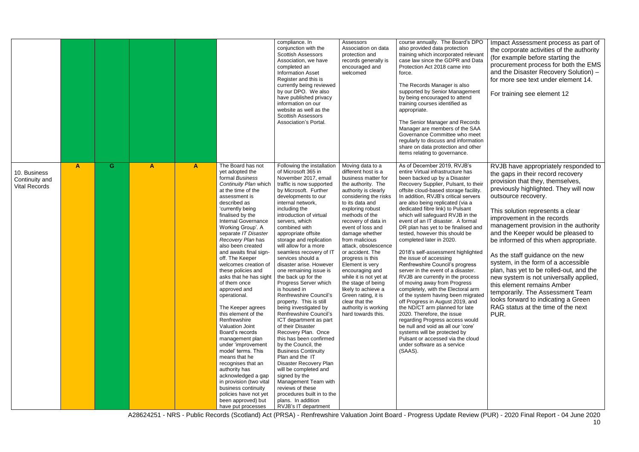| G<br>$\blacktriangle$<br>A<br>10. Business<br>Continuity and<br><b>Vital Records</b> | The Board has not<br>$\mathsf{A}$<br>yet adopted the                                                                                                                                                                                                                                                                                                                                                                                                                                                                                                                                                                                                                                                                                                                                                    | Following the installation                                                                                                                                                                                                                                                                                                                                                                                                                                                                                                                                                                                                                                                                                                                                                                                                                                                                                                                               |                                                                                                                                                                                                                                                                                                                                                                                                                                                                                                                                                    |                                                                                                                                                                                                                                                                                                                                                                                                                                                                                                                                                                                                                                                                                                                                                                                                                                                                                                                                                                                                                                                                       |                                                                                                                                                                                                                                                                                                                                                                                                                                                                                                                                                                                                                                                                                                                                                                                                                                                                       |
|--------------------------------------------------------------------------------------|---------------------------------------------------------------------------------------------------------------------------------------------------------------------------------------------------------------------------------------------------------------------------------------------------------------------------------------------------------------------------------------------------------------------------------------------------------------------------------------------------------------------------------------------------------------------------------------------------------------------------------------------------------------------------------------------------------------------------------------------------------------------------------------------------------|----------------------------------------------------------------------------------------------------------------------------------------------------------------------------------------------------------------------------------------------------------------------------------------------------------------------------------------------------------------------------------------------------------------------------------------------------------------------------------------------------------------------------------------------------------------------------------------------------------------------------------------------------------------------------------------------------------------------------------------------------------------------------------------------------------------------------------------------------------------------------------------------------------------------------------------------------------|----------------------------------------------------------------------------------------------------------------------------------------------------------------------------------------------------------------------------------------------------------------------------------------------------------------------------------------------------------------------------------------------------------------------------------------------------------------------------------------------------------------------------------------------------|-----------------------------------------------------------------------------------------------------------------------------------------------------------------------------------------------------------------------------------------------------------------------------------------------------------------------------------------------------------------------------------------------------------------------------------------------------------------------------------------------------------------------------------------------------------------------------------------------------------------------------------------------------------------------------------------------------------------------------------------------------------------------------------------------------------------------------------------------------------------------------------------------------------------------------------------------------------------------------------------------------------------------------------------------------------------------|-----------------------------------------------------------------------------------------------------------------------------------------------------------------------------------------------------------------------------------------------------------------------------------------------------------------------------------------------------------------------------------------------------------------------------------------------------------------------------------------------------------------------------------------------------------------------------------------------------------------------------------------------------------------------------------------------------------------------------------------------------------------------------------------------------------------------------------------------------------------------|
|                                                                                      | formal Business<br>Continuity Plan which<br>at the time of the<br>assessment is<br>described as<br>'currently being<br>finalised by the<br><b>Internal Governance</b><br>Working Group'. A<br>separate IT Disaster<br>Recovery Plan has<br>also been created<br>and awaits final sign-<br>off. The Keeper<br>welcomes creation of<br>these policies and<br>asks that he has sight<br>of them once<br>approved and<br>operational.<br>The Keeper agrees<br>this element of the<br>Renfrewshire<br>Valuation Joint<br>Board's records<br>management plan<br>under 'improvement<br>model' terms. This<br>means that he<br>recognises that an<br>authority has<br>acknowledged a gap<br>in provision (two vital<br>business continuity<br>policies have not yet<br>been approved) but<br>have put processes | of Microsoft 365 in<br>November 2017, email<br>traffic is now supported<br>by Microsoft. Further<br>developments to our<br>internal network,<br>including the<br>introduction of virtual<br>servers, which<br>combined with<br>appropriate offsite<br>storage and replication<br>will allow for a more<br>seamless recovery of IT<br>services should a<br>disaster arise. However<br>one remaining issue is<br>the back up for the<br>Progress Server which<br>is housed in<br>Renfrewshire Council's<br>property. This is still<br>being investigated by<br>Renfrewshire Council's<br>ICT department as part<br>of their Disaster<br>Recovery Plan. Once<br>this has been confirmed<br>by the Council, the<br><b>Business Continuity</b><br>Plan and the IT<br>Disaster Recovery Plan<br>will be completed and<br>signed by the<br>Management Team with<br>reviews of these<br>procedures built in to the<br>plans. In addition<br>RVJB's IT department | Moving data to a<br>different host is a<br>business matter for<br>the authority. The<br>authority is clearly<br>considering the risks<br>to its data and<br>exploring robust<br>methods of the<br>recovery of data in<br>event of loss and<br>damage whether<br>from malicious<br>attack, obsolescence<br>or accident. The<br>progress is this<br>Element is very<br>encouraging and<br>while it is not yet at<br>the stage of being<br>likely to achieve a<br>Green rating, it is<br>clear that the<br>authority is working<br>hard towards this. | As of December 2019, RVJB's<br>entire Virtual infrastructure has<br>been backed up by a Disaster<br>Recovery Supplier, Pulsant, to their<br>offsite cloud-based storage facility.<br>In addition, RVJB's critical servers<br>are also being replicated (via a<br>dedicated fibre link) to Pulsant<br>which will safeguard RVJB in the<br>event of an IT disaster. A formal<br>DR plan has yet to be finalised and<br>tested, however this should be<br>completed later in 2020.<br>2018's self-assessment highlighted<br>the issue of accessing<br>Renfrewshire Council's progress<br>server in the event of a disaster.<br>RVJB are currently in the process<br>of moving away from Progress<br>completely, with the Electoral arm<br>of the system having been migrated<br>off Progress in August 2019, and<br>the ND/CT arm planned for late<br>2020. Therefore, the issue<br>regarding Progress access would<br>be null and void as all our 'core'<br>systems will be protected by<br>Pulsant or accessed via the cloud<br>under software as a service<br>(SAAS). | RVJB have appropriately responded to<br>the gaps in their record recovery<br>provision that they, themselves,<br>previously highlighted. They will now<br>outsource recovery.<br>This solution represents a clear<br>improvement in the records<br>management provision in the authority<br>and the Keeper would be pleased to<br>be informed of this when appropriate.<br>As the staff guidance on the new<br>system, in the form of a accessible<br>plan, has yet to be rolled-out, and the<br>new system is not universally applied,<br>this element remains Amber<br>temporarily. The Assessment Team<br>looks forward to indicating a Green<br>RAG status at the time of the next<br>PUR.<br>A28624251 - NRS - Public Records (Scotland) Act (PRSA) - Renfrewshire Valuation Joint Board - Progress Update Review (PUR) - 2020 Final Report - 04 June 2020<br>10 |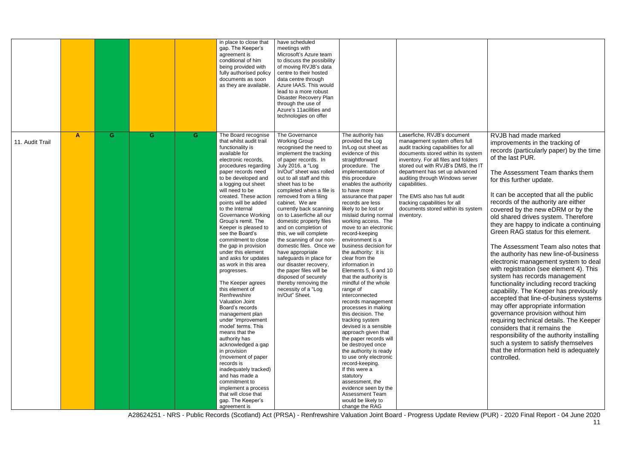A28624251 - NRS - Public Records (Scotland) Act (PRSA) - Renfrewshire Valuation Joint Board - Progress Update Review (PUR) - 2020 Final Report - 04 June 2020

|                 |                  |   |   |    | in place to close that<br>gap. The Keeper's<br>agreement is<br>conditional of him<br>being provided with<br>fully authorised policy<br>documents as soon<br>as they are available.                                                                                                                                                                                                                                                                                                                                                                                                                                                                                                                                                                                                                                                                                                                                                                        | have scheduled<br>meetings with<br>Microsoft's Azure team<br>to discuss the possibility<br>of moving RVJB's data<br>centre to their hosted<br>data centre through<br>Azure IAAS. This would<br>lead to a more robust<br>Disaster Recovery Plan<br>through the use of<br>Azure's 11 acilities and<br>technologies on offer                                                                                                                                                                                                                                                                                                                                                           |                                                                                                                                                                                                                                                                                                                                                                                                                                                                                                                                                                                                                                                                                                                                                                                                                                                                                                                                                                                              |                                                                                                                                                                                                                                                                                                                                                                                                                                   |
|-----------------|------------------|---|---|----|-----------------------------------------------------------------------------------------------------------------------------------------------------------------------------------------------------------------------------------------------------------------------------------------------------------------------------------------------------------------------------------------------------------------------------------------------------------------------------------------------------------------------------------------------------------------------------------------------------------------------------------------------------------------------------------------------------------------------------------------------------------------------------------------------------------------------------------------------------------------------------------------------------------------------------------------------------------|-------------------------------------------------------------------------------------------------------------------------------------------------------------------------------------------------------------------------------------------------------------------------------------------------------------------------------------------------------------------------------------------------------------------------------------------------------------------------------------------------------------------------------------------------------------------------------------------------------------------------------------------------------------------------------------|----------------------------------------------------------------------------------------------------------------------------------------------------------------------------------------------------------------------------------------------------------------------------------------------------------------------------------------------------------------------------------------------------------------------------------------------------------------------------------------------------------------------------------------------------------------------------------------------------------------------------------------------------------------------------------------------------------------------------------------------------------------------------------------------------------------------------------------------------------------------------------------------------------------------------------------------------------------------------------------------|-----------------------------------------------------------------------------------------------------------------------------------------------------------------------------------------------------------------------------------------------------------------------------------------------------------------------------------------------------------------------------------------------------------------------------------|
| 11. Audit Trail | $\blacktriangle$ | G | G | G. | The Board recognise<br>that whilst audit trail<br>functionality is<br>available for<br>electronic records,<br>procedures regarding<br>paper records need<br>to be developed and<br>a logging out sheet<br>will need to be<br>created. These action<br>points will be added<br>to the Internal<br><b>Governance Working</b><br>Group's remit. The<br>Keeper is pleased to<br>see the Board's<br>commitment to close<br>the gap in provision<br>under this element<br>and asks for updates<br>as work in this area<br>progresses.<br>The Keeper agrees<br>this element of<br>Renfrewshire<br>Valuation Joint<br>Board's records<br>management plan<br>under 'improvement<br>model' terms. This<br>means that the<br>authority has<br>acknowledged a gap<br>in provision<br>(movement of paper<br>records is<br>inadequately tracked)<br>and has made a<br>commitment to<br>implement a process<br>that will close that<br>gap. The Keeper's<br>agreement is | The Governance<br><b>Working Group</b><br>recognised the need to<br>implement the tracking<br>of paper records. In<br>July 2016, a "Log<br>In/Out" sheet was rolled<br>out to all staff and this<br>sheet has to be<br>completed when a file is<br>removed from a filing<br>cabinet. We are<br>currently back scanning<br>on to Laserfiche all our<br>domestic property files<br>and on completion of<br>this, we will complete<br>the scanning of our non-<br>domestic files. Once we<br>have appropriate<br>safeguards in place for<br>our disaster recovery,<br>the paper files will be<br>disposed of securely<br>thereby removing the<br>necessity of a "Log<br>In/Out" Sheet. | The authority has<br>provided the Log<br>In/Log out sheet as<br>evidence of this<br>straightforward<br>procedure. The<br>implementation of<br>this procedure<br>enables the authority<br>to have more<br>assurance that paper<br>records are less<br>likely to be lost or<br>mislaid during normal<br>working access. The<br>move to an electronic<br>record-keeping<br>environment is a<br>business decision for<br>the authority: it is<br>clear from the<br>information in<br>Elements 5, 6 and 10<br>that the authority is<br>mindful of the whole<br>range of<br>interconnected<br>records management<br>processes in making<br>this decision. The<br>tracking system<br>devised is a sensible<br>approach given that<br>the paper records will<br>be destroyed once<br>the authority is ready<br>to use only electronic<br>record-keeping.<br>If this were a<br>statutory<br>assessment, the<br>evidence seen by the<br><b>Assessment Team</b><br>would be likely to<br>change the RAG | Laserfiche, RVJB's document<br>management system offers full<br>audit tracking capabilities for all<br>documents stored within its system<br>inventory. For all files and folders<br>stored out with RVJB's DMS, the IT<br>department has set up advanced<br>auditing through Windows server<br>capabilities.<br>The EMS also has full audit<br>tracking capabilities for all<br>documents stored within its system<br>inventory. |

RVJB had made marked improvements in the tracking of records (particularly paper) by the time of the last PUR.

The Assessment Team thanks them for this further update.

It can be accepted that all the public records of the authority are either covered by the new eDRM or by the old shared drives system. Therefore they are happy to indicate a continuing Green RAG status for this element.

The Assessment Team also notes that the authority has new line-of-business electronic management system to deal with registration (see element 4). This system has records management functionality including record tracking capability. The Keeper has previously accepted that line-of-business systems may offer appropriate information governance provision without him requiring technical details. The Keeper considers that it remains the responsibility of the authority installing such a system to satisfy themselves that the information held is adequately controlled.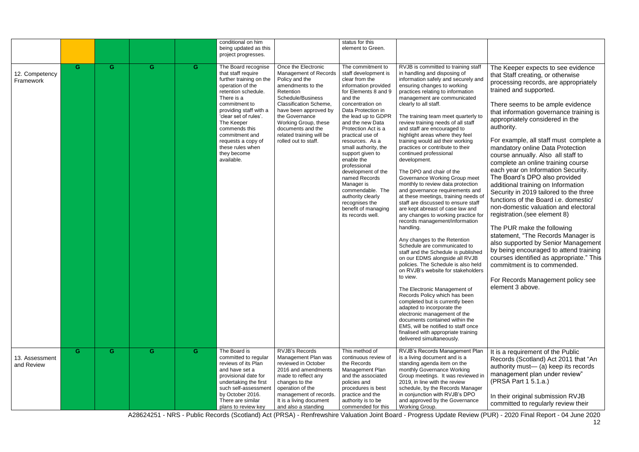A28624251 - NRS - Public Records (Scotland) Act (PRSA) - Renfrewshire Valuation Joint Board - Progress Update Review (PUR) - 2020 Final Report - 04 June 2020

|                              |    |    |    |    | conditional on him<br>being updated as this<br>project progresses.                                                                                                                                                                                                                                                        |                                                                                                                                                                                                                                                                                                           | status for this<br>element to Green.                                                                                                                                                                                                                                                                                                                                                                                                                                                                            |                                                                                                                                                                                                                                                                                                                                                                                                                                                                                                                                                                                                                                                                                                                                                                                                                                                                                                                                                                                                                                                                                                                                                                                                                                                                                                                                                                                                        |                                                                                                                                                                                                                                                                                                                                                                                                                                                                                                                                                                                                                                                                                                                                                                                                                                                                                                                                                                                                        |
|------------------------------|----|----|----|----|---------------------------------------------------------------------------------------------------------------------------------------------------------------------------------------------------------------------------------------------------------------------------------------------------------------------------|-----------------------------------------------------------------------------------------------------------------------------------------------------------------------------------------------------------------------------------------------------------------------------------------------------------|-----------------------------------------------------------------------------------------------------------------------------------------------------------------------------------------------------------------------------------------------------------------------------------------------------------------------------------------------------------------------------------------------------------------------------------------------------------------------------------------------------------------|--------------------------------------------------------------------------------------------------------------------------------------------------------------------------------------------------------------------------------------------------------------------------------------------------------------------------------------------------------------------------------------------------------------------------------------------------------------------------------------------------------------------------------------------------------------------------------------------------------------------------------------------------------------------------------------------------------------------------------------------------------------------------------------------------------------------------------------------------------------------------------------------------------------------------------------------------------------------------------------------------------------------------------------------------------------------------------------------------------------------------------------------------------------------------------------------------------------------------------------------------------------------------------------------------------------------------------------------------------------------------------------------------------|--------------------------------------------------------------------------------------------------------------------------------------------------------------------------------------------------------------------------------------------------------------------------------------------------------------------------------------------------------------------------------------------------------------------------------------------------------------------------------------------------------------------------------------------------------------------------------------------------------------------------------------------------------------------------------------------------------------------------------------------------------------------------------------------------------------------------------------------------------------------------------------------------------------------------------------------------------------------------------------------------------|
| 12. Competency<br>Framework  | G. | G. | G. | G. | The Board recognise<br>that staff require<br>further training on the<br>operation of the<br>retention schedule.<br>There is a<br>commitment to<br>providing staff with a<br>'clear set of rules'.<br>The Keeper<br>commends this<br>commitment and<br>requests a copy of<br>these rules when<br>they become<br>available. | Once the Electronic<br><b>Management of Records</b><br>Policy and the<br>amendments to the<br>Retention<br>Schedule/Business<br><b>Classification Scheme,</b><br>have been approved by<br>the Governance<br>Working Group, these<br>documents and the<br>related training will be<br>rolled out to staff. | The commitment to<br>staff development is<br>clear from the<br>information provided<br>for Elements 8 and 9<br>and the<br>concentration on<br>Data Protection in<br>the lead up to GDPR<br>and the new Data<br>Protection Act is a<br>practical use of<br>resources. As a<br>small authority, the<br>support given to<br>enable the<br>professional<br>development of the<br>named Records<br>Manager is<br>commendable. The<br>authority clearly<br>recognises the<br>benefit of managing<br>its records well. | RVJB is committed to training staff<br>in handling and disposing of<br>information safely and securely and<br>ensuring changes to working<br>practices relating to information<br>management are communicated<br>clearly to all staff.<br>The training team meet quarterly to<br>review training needs of all staff<br>and staff are encouraged to<br>highlight areas where they feel<br>training would aid their working<br>practices or contribute to their<br>continued professional<br>development.<br>The DPO and chair of the<br>Governance Working Group meet<br>monthly to review data protection<br>and governance requirements and<br>at these meetings, training needs of<br>staff are discussed to ensure staff<br>are kept abreast of case law and<br>any changes to working practice for<br>records management/information<br>handling.<br>Any changes to the Retention<br>Schedule are communicated to<br>staff and the Schedule is published<br>on our EDMS alongside all RVJB<br>policies. The Schedule is also held<br>on RVJB's website for stakeholders<br>to view.<br>The Electronic Management of<br>Records Policy which has been<br>completed but is currently been<br>adapted to incorporate the<br>electronic management of the<br>documents contained within the<br>EMS, will be notified to staff once<br>finalised with appropriate training<br>delivered simultaneously. | The Keeper expects to see evidence<br>that Staff creating, or otherwise<br>processing records, are appropriately<br>trained and supported.<br>There seems to be ample evidence<br>that information governance training is<br>appropriately considered in the<br>authority.<br>For example, all staff must complete a<br>mandatory online Data Protection<br>course annually. Also all staff to<br>complete an online training course<br>each year on Information Security.<br>The Board's DPO also provided<br>additional training on Information<br>Security in 2019 tailored to the three<br>functions of the Board i.e. domestic/<br>non-domestic valuation and electoral<br>registration. (see element 8)<br>The PUR make the following<br>statement, "The Records Manager is<br>also supported by Senior Management<br>by being encouraged to attend training<br>courses identified as appropriate." This<br>commitment is to commended.<br>For Records Management policy see<br>element 3 above. |
| 13. Assessment<br>and Review | G  | G. | G. | G  | The Board is<br>committed to regular<br>reviews of its Plan<br>and have set a<br>provisional date for<br>undertaking the first<br>such self-assessment<br>by October 2016.<br>There are similar<br>plans to review key                                                                                                    | RVJB's Records<br>Management Plan was<br>reviewed in October<br>2016 and amendments<br>made to reflect any<br>changes to the<br>operation of the<br>management of records.<br>It is a living document<br>and also a standing                                                                              | This method of<br>continuous review of<br>the Records<br>Management Plan<br>and the associated<br>policies and<br>procedures is best<br>practice and the<br>authority is to be<br>commended for this                                                                                                                                                                                                                                                                                                            | RVJB's Records Management Plan<br>is a living document and is a<br>standing agenda item on the<br>monthly Governance Working<br>Group meetings. It was reviewed in<br>2019, in line with the review<br>schedule, by the Records Manager<br>in conjunction with RVJB's DPO<br>and approved by the Governance<br>Working Group.                                                                                                                                                                                                                                                                                                                                                                                                                                                                                                                                                                                                                                                                                                                                                                                                                                                                                                                                                                                                                                                                          | It is a requirement of the Public<br>Records (Scotland) Act 2011 that "An<br>authority must- (a) keep its records<br>management plan under review"<br>(PRSA Part 1 5.1.a.)<br>In their original submission RVJB<br>committed to regularly review their                                                                                                                                                                                                                                                                                                                                                                                                                                                                                                                                                                                                                                                                                                                                                 |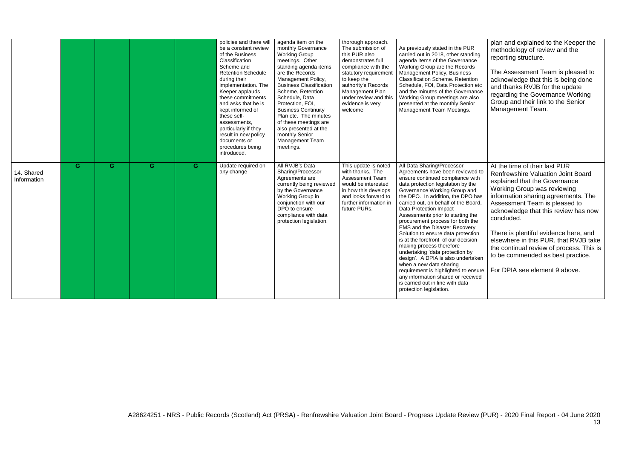|                           |                |   |   |   | policies and there will<br>be a constant review<br>of the Business<br>Classification<br>Scheme and<br><b>Retention Schedule</b><br>during their<br>implementation. The<br>Keeper applauds<br>these commitments<br>and asks that he is<br>kept informed of<br>these self-<br>assessments,<br>particularly if they<br>result in new policy<br>documents or<br>procedures being<br>introduced. | agenda item on the<br>monthly Governance<br><b>Working Group</b><br>meetings. Other<br>standing agenda items<br>are the Records<br>Management Policy,<br><b>Business Classification</b><br>Scheme, Retention<br>Schedule, Data<br>Protection, FOI,<br><b>Business Continuity</b><br>Plan etc. The minutes<br>of these meetings are<br>also presented at the<br>monthly Senior<br>Management Team<br>meetings. | thorough approach.<br>The submission of<br>this PUR also<br>demonstrates full<br>compliance with the<br>statutory requiremen<br>to keep the<br>authority's Records<br>Management Plan<br>under review and this<br>evidence is very<br>welcome | As previously stated in the PUR<br>carried out in 2018, other standing<br>agenda items of the Governance<br>Working Group are the Records<br>Management Policy, Business<br><b>Classification Scheme. Retention</b><br>Schedule, FOI, Data Protection etc<br>and the minutes of the Governance<br>Working Group meetings are also<br>presented at the monthly Senior<br>Management Team Meetings.                                                                                                                                                                                                                                                                                                                                                                 | plan and explained to the Keeper the<br>methodology of review and the<br>reporting structure.<br>The Assessment Team is pleased to<br>acknowledge that this is being done<br>and thanks RVJB for the update<br>regarding the Governance Working<br>Group and their link to the Senior<br>Management Team.                                                                                                                                                                    |
|---------------------------|----------------|---|---|---|---------------------------------------------------------------------------------------------------------------------------------------------------------------------------------------------------------------------------------------------------------------------------------------------------------------------------------------------------------------------------------------------|---------------------------------------------------------------------------------------------------------------------------------------------------------------------------------------------------------------------------------------------------------------------------------------------------------------------------------------------------------------------------------------------------------------|-----------------------------------------------------------------------------------------------------------------------------------------------------------------------------------------------------------------------------------------------|-------------------------------------------------------------------------------------------------------------------------------------------------------------------------------------------------------------------------------------------------------------------------------------------------------------------------------------------------------------------------------------------------------------------------------------------------------------------------------------------------------------------------------------------------------------------------------------------------------------------------------------------------------------------------------------------------------------------------------------------------------------------|------------------------------------------------------------------------------------------------------------------------------------------------------------------------------------------------------------------------------------------------------------------------------------------------------------------------------------------------------------------------------------------------------------------------------------------------------------------------------|
| 14. Shared<br>Information | $\overline{G}$ | G | G | G | Update required on<br>any change                                                                                                                                                                                                                                                                                                                                                            | All RVJB's Data<br>Sharing/Processor<br>Agreements are<br>currently being reviewed<br>by the Governance<br>Working Group in<br>conjunction with our<br>DPO to ensure<br>compliance with data<br>protection legislation.                                                                                                                                                                                       | This update is noted<br>with thanks. The<br><b>Assessment Team</b><br>would be interested<br>in how this develops<br>and looks forward to<br>further information in<br>future PURs.                                                           | All Data Sharing/Processor<br>Agreements have been reviewed to<br>ensure continued compliance with<br>data protection legislation by the<br>Governance Working Group and<br>the DPO. In addition, the DPO has<br>carried out, on behalf of the Board.<br><b>Data Protection Impact</b><br>Assessments prior to starting the<br>procurement process for both the<br><b>EMS and the Disaster Recovery</b><br>Solution to ensure data protection<br>is at the forefront of our decision<br>making process therefore<br>undertaking 'data protection by<br>design'. A DPIA is also undertaken<br>when a new data sharing<br>requirement is highlighted to ensure<br>any information shared or received<br>is carried out in line with data<br>protection legislation. | At the time of their last PUR<br><b>Renfrewshire Valuation Joint Board</b><br>explained that the Governance<br>Working Group was reviewing<br>information sharing agreements. The<br>Assessment Team is pleased to<br>acknowledge that this review has now<br>concluded.<br>There is plentiful evidence here, and<br>elsewhere in this PUR, that RVJB take<br>the continual review of process. This is<br>to be commended as best practice.<br>For DPIA see element 9 above. |